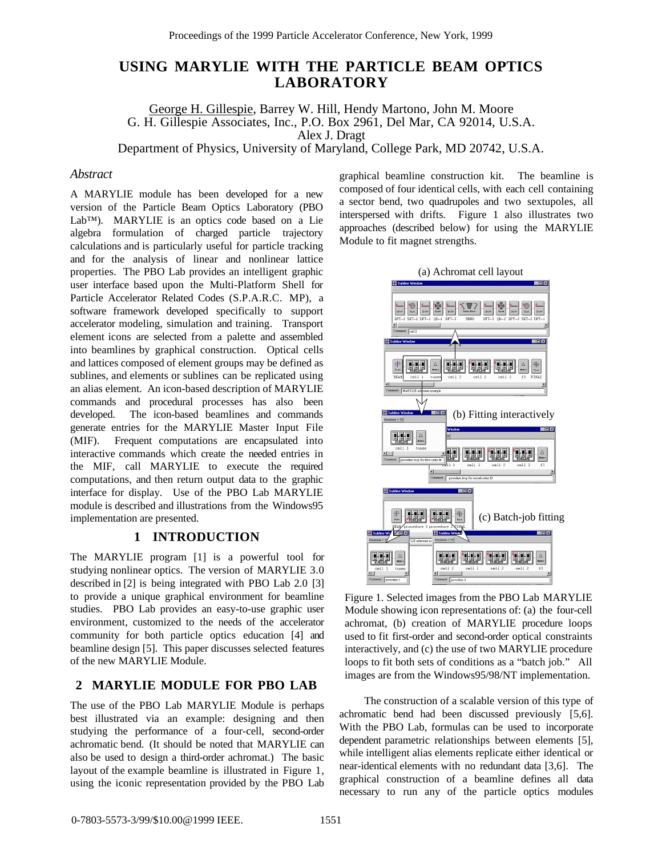# **USING MARYLIE WITH THE PARTICLE BEAM OPTICS LABORATORY**

George H. Gillespie, Barrey W. Hill, Hendy Martono, John M. Moore G. H. Gillespie Associates, Inc., P.O. Box 2961, Del Mar, CA 92014, U.S.A. Alex J. Dragt Department of Physics, University of Maryland, College Park, MD 20742, U.S.A.

#### *Abstract*

A MARYLIE module has been developed for a new version of the Particle Beam Optics Laboratory (PBO Lab™). MARYLIE is an optics code based on a Lie algebra formulation of charged particle trajectory calculations and is particularly useful for particle tracking and for the analysis of linear and nonlinear lattice properties. The PBO Lab provides an intelligent graphic user interface based upon the Multi-Platform Shell for Particle Accelerator Related Codes (S.P.A.R.C. MP), a software framework developed specifically to support accelerator modeling, simulation and training. Transport element icons are selected from a palette and assembled into beamlines by graphical construction. Optical cells and lattices composed of element groups may be defined as sublines, and elements or sublines can be replicated using an alias element. An icon-based description of MARYLIE commands and procedural processes has also been developed. The icon-based beamlines and commands generate entries for the MARYLIE Master Input File (MIF). Frequent computations are encapsulated into interactive commands which create the needed entries in the MIF, call MARYLIE to execute the required computations, and then return output data to the graphic interface for display. Use of the PBO Lab MARYLIE module is described and illustrations from the Windows95 implementation are presented.

# **1 INTRODUCTION**

The MARYLIE program [1] is a powerful tool for studying nonlinear optics. The version of MARYLIE 3.0 described in [2] is being integrated with PBO Lab 2.0 [3] to provide a unique graphical environment for beamline studies. PBO Lab provides an easy-to-use graphic user environment, customized to the needs of the accelerator community for both particle optics education [4] and beamline design [5]. This paper discusses selected features of the new MARYLIE Module.

# **2 MARYLIE MODULE FOR PBO LAB**

The use of the PBO Lab MARYLIE Module is perhaps best illustrated via an example: designing and then studying the performance of a four-cell, second-order achromatic bend. (It should be noted that MARYLIE can also be used to design a third-order achromat.) The basic layout of the example beamline is illustrated in Figure 1, using the iconic representation provided by the PBO Lab graphical beamline construction kit. The beamline is composed of four identical cells, with each cell containing a sector bend, two quadrupoles and two sextupoles, all interspersed with drifts. Figure 1 also illustrates two approaches (described below) for using the MARYLIE Module to fit magnet strengths.



Figure 1. Selected images from the PBO Lab MARYLIE Module showing icon representations of: (a) the four-cell achromat, (b) creation of MARYLIE procedure loops used to fit first-order and second-order optical constraints interactively, and (c) the use of two MARYLIE procedure loops to fit both sets of conditions as a "batch job." All images are from the Windows95/98/NT implementation.

The construction of a scalable version of this type of achromatic bend had been discussed previously [5,6]. With the PBO Lab, formulas can be used to incorporate dependent parametric relationships between elements [5], while intelligent alias elements replicate either identical or near-identical elements with no redundant data [3,6]. The graphical construction of a beamline defines all data necessary to run any of the particle optics modules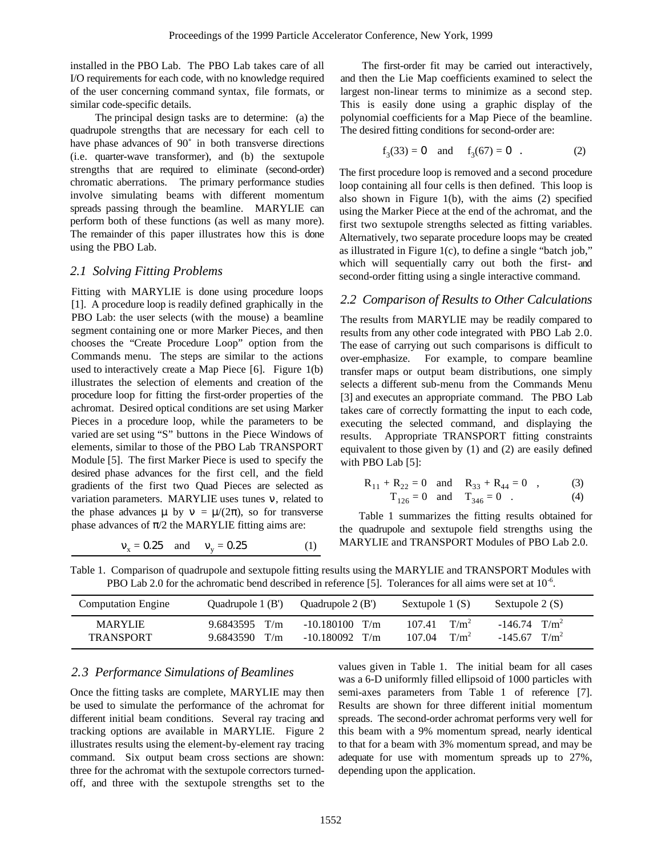installed in the PBO Lab. The PBO Lab takes care of all I/O requirements for each code, with no knowledge required of the user concerning command syntax, file formats, or similar code-specific details.

The principal design tasks are to determine: (a) the quadrupole strengths that are necessary for each cell to have phase advances of 90˚ in both transverse directions (i.e. quarter-wave transformer), and (b) the sextupole strengths that are required to eliminate (second-order) chromatic aberrations. The primary performance studies involve simulating beams with different momentum spreads passing through the beamline. MARYLIE can perform both of these functions (as well as many more). The remainder of this paper illustrates how this is done using the PBO Lab.

## *2.1 Solving Fitting Problems*

Fitting with MARYLIE is done using procedure loops [1]. A procedure loop is readily defined graphically in the PBO Lab: the user selects (with the mouse) a beamline segment containing one or more Marker Pieces, and then chooses the "Create Procedure Loop" option from the Commands menu. The steps are similar to the actions used to interactively create a Map Piece [6]. Figure 1(b) illustrates the selection of elements and creation of the procedure loop for fitting the first-order properties of the achromat. Desired optical conditions are set using Marker Pieces in a procedure loop, while the parameters to be varied are set using "S" buttons in the Piece Windows of elements, similar to those of the PBO Lab TRANSPORT Module [5]. The first Marker Piece is used to specify the desired phase advances for the first cell, and the field gradients of the first two Quad Pieces are selected as variation parameters. MARYLIE uses tunes ν, related to the phase advances  $\mu$  by  $\nu = \mu/(2\pi)$ , so for transverse phase advances of  $\pi/2$  the MARYLIE fitting aims are:

$$
v_x = 0.25
$$
 and  $v_y = 0.25$  (1)

The first-order fit may be carried out interactively, and then the Lie Map coefficients examined to select the largest non-linear terms to minimize as a second step. This is easily done using a graphic display of the polynomial coefficients for a Map Piece of the beamline. The desired fitting conditions for second-order are:

$$
f_3(33) = 0
$$
 and  $f_3(67) = 0$ . (2)

The first procedure loop is removed and a second procedure loop containing all four cells is then defined. This loop is also shown in Figure 1(b), with the aims (2) specified using the Marker Piece at the end of the achromat, and the first two sextupole strengths selected as fitting variables. Alternatively, two separate procedure loops may be created as illustrated in Figure 1(c), to define a single "batch job," which will sequentially carry out both the first- and second-order fitting using a single interactive command.

## *2.2 Comparison of Results to Other Calculations*

The results from MARYLIE may be readily compared to results from any other code integrated with PBO Lab 2.0. The ease of carrying out such comparisons is difficult to over-emphasize. For example, to compare beamline transfer maps or output beam distributions, one simply selects a different sub-menu from the Commands Menu [3] and executes an appropriate command. The PBO Lab takes care of correctly formatting the input to each code, executing the selected command, and displaying the results. Appropriate TRANSPORT fitting constraints equivalent to those given by (1) and (2) are easily defined with PBO Lab [5]:

$$
R_{11} + R_{22} = 0 \text{ and } R_{33} + R_{44} = 0 , \qquad (3)
$$
  
\n
$$
T_{126} = 0 \text{ and } T_{346} = 0 . \qquad (4)
$$

Table 1 summarizes the fitting results obtained for the quadrupole and sextupole field strengths using the MARYLIE and TRANSPORT Modules of PBO Lab 2.0.

| Table 1. Comparison of quadrupole and sextupole fitting results using the MARYLIE and TRANSPORT Modules with    |  |  |  |
|-----------------------------------------------------------------------------------------------------------------|--|--|--|
| PBO Lab 2.0 for the achromatic bend described in reference [5]. Tolerances for all aims were set at $10^{-6}$ . |  |  |  |

| <b>Computation Engine</b>          | Ouadrupole 1 (B')                | Ouadrupole $2(B')$                   | Sextupole 1 (S)                        | Sextupole 2 (S)                                          |
|------------------------------------|----------------------------------|--------------------------------------|----------------------------------------|----------------------------------------------------------|
| <b>MARYLIE</b><br><b>TRANSPORT</b> | $9.6843595$ T/m<br>9.6843590 T/m | $-10.180100$ T/m<br>$-10.180092$ T/m | $T/m^2$<br>107.41<br>$T/m^2$<br>107.04 | $-146.74$ T/m <sup>2</sup><br>$-145.67$ T/m <sup>2</sup> |

## *2.3 Performance Simulations of Beamlines*

Once the fitting tasks are complete, MARYLIE may then be used to simulate the performance of the achromat for different initial beam conditions. Several ray tracing and tracking options are available in MARYLIE. Figure 2 illustrates results using the element-by-element ray tracing command. Six output beam cross sections are shown: three for the achromat with the sextupole correctors turnedoff, and three with the sextupole strengths set to the values given in Table 1. The initial beam for all cases was a 6-D uniformly filled ellipsoid of 1000 particles with semi-axes parameters from Table 1 of reference [7]. Results are shown for three different initial momentum spreads. The second-order achromat performs very well for this beam with a 9% momentum spread, nearly identical to that for a beam with 3% momentum spread, and may be adequate for use with momentum spreads up to 27%, depending upon the application.